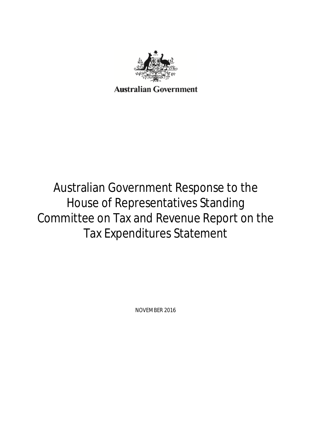

# Australian Government Response to the House of Representatives Standing Committee on Tax and Revenue Report on the Tax Expenditures Statement

NOVEMBER 2016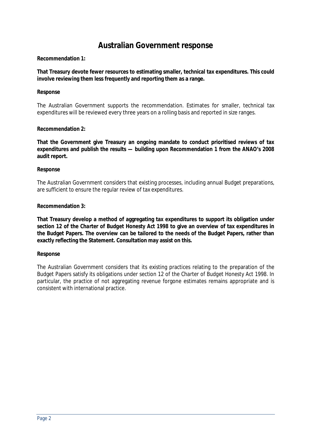# **Australian Government response**

# **Recommendation 1:**

**That Treasury devote fewer resources to estimating smaller, technical tax expenditures. This could involve reviewing them less frequently and reporting them as a range.** 

# **Response**

The Australian Government supports the recommendation. Estimates for smaller, technical tax expenditures will be reviewed every three years on a rolling basis and reported in size ranges.

# **Recommendation 2:**

**That the Government give Treasury an ongoing mandate to conduct prioritised reviews of tax expenditures and publish the results — building upon Recommendation 1 from the ANAO's 2008 audit report.** 

# **Response**

The Australian Government considers that existing processes, including annual Budget preparations, are sufficient to ensure the regular review of tax expenditures.

# **Recommendation 3:**

**That Treasury develop a method of aggregating tax expenditures to support its obligation under section 12 of the** *Charter of Budget Honesty Act 1998* **to give an overview of tax expenditures in the Budget Papers. The overview can be tailored to the needs of the Budget Papers, rather than exactly reflecting the Statement. Consultation may assist on this.** 

# **Response**

The Australian Government considers that its existing practices relating to the preparation of the Budget Papers satisfy its obligations under section 12 of the *Charter of Budget Honesty Act 1998*. In particular, the practice of not aggregating revenue forgone estimates remains appropriate and is consistent with international practice.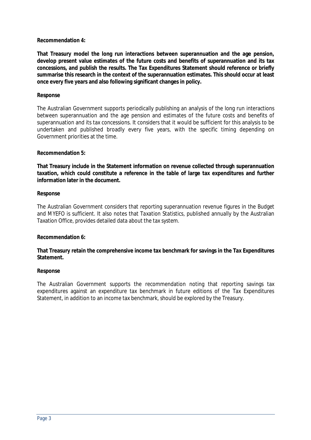# **Recommendation 4:**

**That Treasury model the long run interactions between superannuation and the age pension, develop present value estimates of the future costs and benefits of superannuation and its tax concessions, and publish the results. The Tax Expenditures Statement should reference or briefly summarise this research in the context of the superannuation estimates. This should occur at least once every five years and also following significant changes in policy.** 

# **Response**

The Australian Government supports periodically publishing an analysis of the long run interactions between superannuation and the age pension and estimates of the future costs and benefits of superannuation and its tax concessions. It considers that it would be sufficient for this analysis to be undertaken and published broadly every five years, with the specific timing depending on Government priorities at the time.

# **Recommendation 5:**

**That Treasury include in the Statement information on revenue collected through superannuation taxation, which could constitute a reference in the table of large tax expenditures and further information later in the document.** 

# **Response**

The Australian Government considers that reporting superannuation revenue figures in the Budget and MYEFO is sufficient. It also notes that *Taxation Statistics*, published annually by the Australian Taxation Office, provides detailed data about the tax system.

# **Recommendation 6:**

**That Treasury retain the comprehensive income tax benchmark for savings in the Tax Expenditures Statement.** 

# **Response**

The Australian Government supports the recommendation noting that reporting savings tax expenditures against an expenditure tax benchmark in future editions of the Tax Expenditures Statement, in addition to an income tax benchmark, should be explored by the Treasury.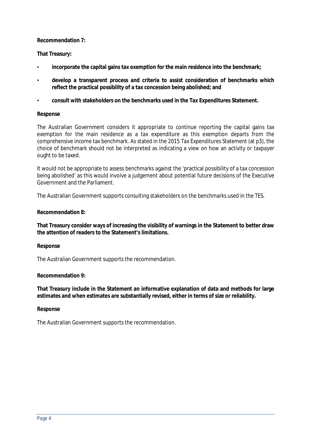# **Recommendation 7:**

# **That Treasury:**

- **incorporate the capital gains tax exemption for the main residence into the benchmark;**
- **develop a transparent process and criteria to assist consideration of benchmarks which reflect the practical possibility of a tax concession being abolished; and**
- **consult with stakeholders on the benchmarks used in the Tax Expenditures Statement.**

# **Response**

The Australian Government considers it appropriate to continue reporting the capital gains tax exemption for the main residence as a tax expenditure as this exemption departs from the comprehensive income tax benchmark. As stated in the 2015 Tax Expenditures Statement (at p3), the choice of benchmark should not be interpreted as indicating a view on how an activity or taxpayer ought to be taxed.

It would not be appropriate to assess benchmarks against the 'practical possibility of a tax concession being abolished' as this would involve a judgement about potential future decisions of the Executive Government and the Parliament.

The Australian Government supports consulting stakeholders on the benchmarks used in the TES.

# **Recommendation 8:**

**That Treasury consider ways of increasing the visibility of warnings in the Statement to better draw the attention of readers to the Statement's limitations.** 

# **Response**

The Australian Government supports the recommendation.

# **Recommendation 9:**

**That Treasury include in the Statement an informative explanation of data and methods for large estimates and when estimates are substantially revised, either in terms of size or reliability.** 

# **Response**

The Australian Government supports the recommendation.